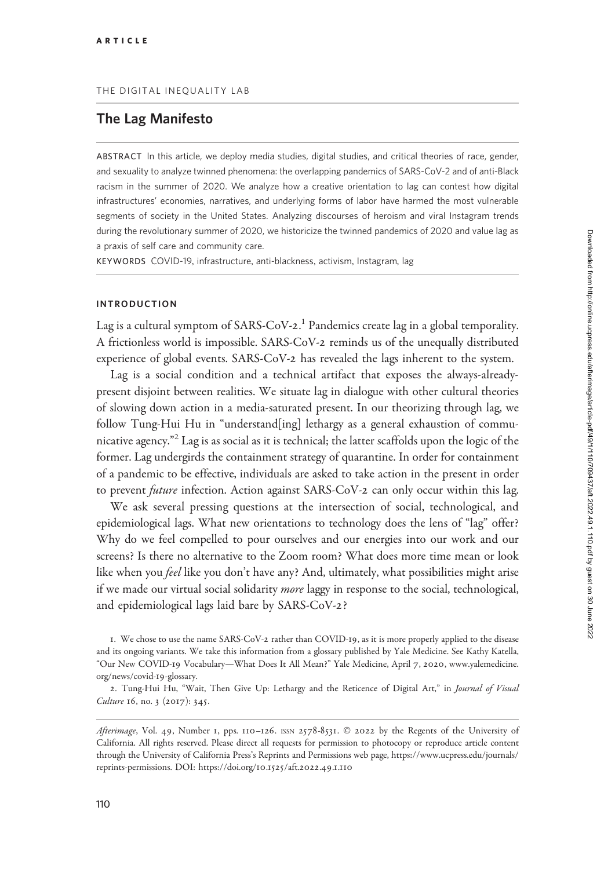# The Lag Manifesto

ABSTRACT In this article, we deploy media studies, digital studies, and critical theories of race, gender, and sexuality to analyze twinned phenomena: the overlapping pandemics of SARS-CoV-2 and of anti-Black racism in the summer of 2020. We analyze how a creative orientation to lag can contest how digital infrastructures' economies, narratives, and underlying forms of labor have harmed the most vulnerable segments of society in the United States. Analyzing discourses of heroism and viral Instagram trends during the revolutionary summer of 2020, we historicize the twinned pandemics of 2020 and value lag as a praxis of self care and community care.

KEYWORDS COVID-19, infrastructure, anti-blackness, activism, Instagram, lag

#### INTRODUCTION

Lag is a cultural symptom of SARS-CoV-2.<sup>1</sup> Pandemics create lag in a global temporality. A frictionless world is impossible. SARS-CoV-2 reminds us of the unequally distributed experience of global events. SARS-CoV-2 has revealed the lags inherent to the system.

Lag is a social condition and a technical artifact that exposes the always-alreadypresent disjoint between realities. We situate lag in dialogue with other cultural theories of slowing down action in a media-saturated present. In our theorizing through lag, we follow Tung-Hui Hu in "understand[ing] lethargy as a general exhaustion of communicative agency."<sup>2</sup> Lag is as social as it is technical; the latter scaffolds upon the logic of the former. Lag undergirds the containment strategy of quarantine. In order for containment of a pandemic to be effective, individuals are asked to take action in the present in order to prevent *future* infection. Action against SARS-CoV-2 can only occur within this lag.

We ask several pressing questions at the intersection of social, technological, and epidemiological lags. What new orientations to technology does the lens of "lag" offer? Why do we feel compelled to pour ourselves and our energies into our work and our screens? Is there no alternative to the Zoom room? What does more time mean or look like when you feel like you don't have any? And, ultimately, what possibilities might arise if we made our virtual social solidarity more laggy in response to the social, technological, and epidemiological lags laid bare by SARS-CoV-2?

1. We chose to use the name SARS-CoV-2 rather than COVID-19, as it is more properly applied to the disease and its ongoing variants. We take this information from a glossary published by Yale Medicine. See Kathy Katella, "Our New COVID-19 Vocabulary—What Does It All Mean?" Yale Medicine, April 7, 2020, [www.yalemedicine.](http://www.yalemedicine.org/news/covid-19-glossary) [org/news/covid-](http://www.yalemedicine.org/news/covid-19-glossary)19-glossary.

2. Tung-Hui Hu, "Wait, Then Give Up: Lethargy and the Reticence of Digital Art," in Journal of Visual Culture 16, no. 3 (2017): 345.

Afterimage, Vol. 49, Number 1, pps. 110-126. ISSN 2578-8531. © 2022 by the Regents of the University of California. All rights reserved. Please direct all requests for permission to photocopy or reproduce article content through the University of California Press's Reprints and Permissions web page, [https://www.ucpress.edu/journals/](https://www.ucpress.edu/journals/reprints-permissions) [reprints-permissions](https://www.ucpress.edu/journals/reprints-permissions). [DOI: https://doi.org/](https://doi.org/10.1525/aft.2022.49.1.110)10.1525/aft.2022.49.1.110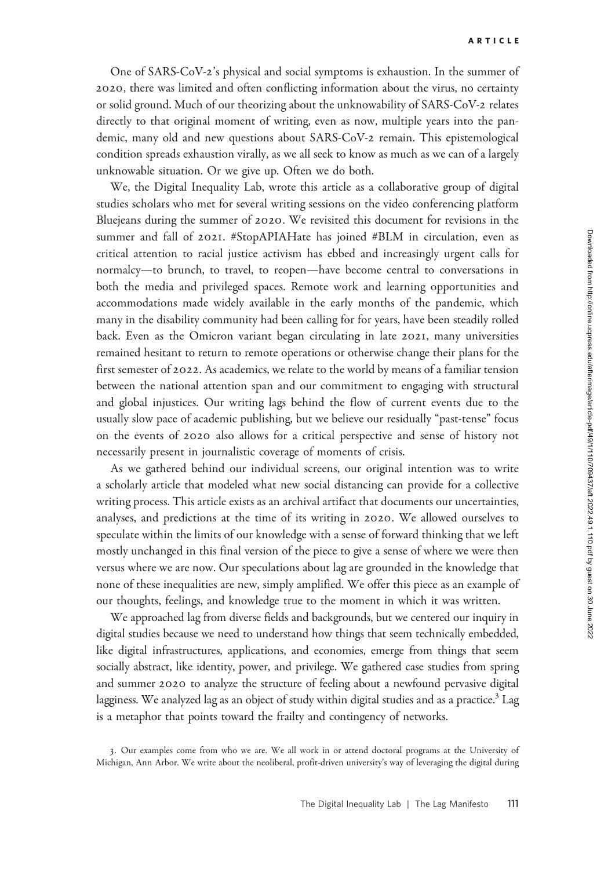One of SARS-CoV-2's physical and social symptoms is exhaustion. In the summer of 2020, there was limited and often conflicting information about the virus, no certainty or solid ground. Much of our theorizing about the unknowability of SARS-CoV-2 relates directly to that original moment of writing, even as now, multiple years into the pandemic, many old and new questions about SARS-CoV-2 remain. This epistemological condition spreads exhaustion virally, as we all seek to know as much as we can of a largely unknowable situation. Or we give up. Often we do both.

We, the Digital Inequality Lab, wrote this article as a collaborative group of digital studies scholars who met for several writing sessions on the video conferencing platform Bluejeans during the summer of 2020. We revisited this document for revisions in the summer and fall of 2021. #StopAPIAHate has joined #BLM in circulation, even as critical attention to racial justice activism has ebbed and increasingly urgent calls for normalcy—to brunch, to travel, to reopen—have become central to conversations in both the media and privileged spaces. Remote work and learning opportunities and accommodations made widely available in the early months of the pandemic, which many in the disability community had been calling for for years, have been steadily rolled back. Even as the Omicron variant began circulating in late 2021, many universities remained hesitant to return to remote operations or otherwise change their plans for the first semester of 2022. As academics, we relate to the world by means of a familiar tension between the national attention span and our commitment to engaging with structural and global injustices. Our writing lags behind the flow of current events due to the usually slow pace of academic publishing, but we believe our residually "past-tense" focus on the events of 2020 also allows for a critical perspective and sense of history not necessarily present in journalistic coverage of moments of crisis.

As we gathered behind our individual screens, our original intention was to write a scholarly article that modeled what new social distancing can provide for a collective writing process. This article exists as an archival artifact that documents our uncertainties, analyses, and predictions at the time of its writing in 2020. We allowed ourselves to speculate within the limits of our knowledge with a sense of forward thinking that we left mostly unchanged in this final version of the piece to give a sense of where we were then versus where we are now. Our speculations about lag are grounded in the knowledge that none of these inequalities are new, simply amplified. We offer this piece as an example of our thoughts, feelings, and knowledge true to the moment in which it was written.

We approached lag from diverse fields and backgrounds, but we centered our inquiry in digital studies because we need to understand how things that seem technically embedded, like digital infrastructures, applications, and economies, emerge from things that seem socially abstract, like identity, power, and privilege. We gathered case studies from spring and summer 2020 to analyze the structure of feeling about a newfound pervasive digital lagginess. We analyzed lag as an object of study within digital studies and as a practice.<sup>3</sup> Lag is a metaphor that points toward the frailty and contingency of networks.

<sup>3</sup>. Our examples come from who we are. We all work in or attend doctoral programs at the University of Michigan, Ann Arbor. We write about the neoliberal, profit-driven university's way of leveraging the digital during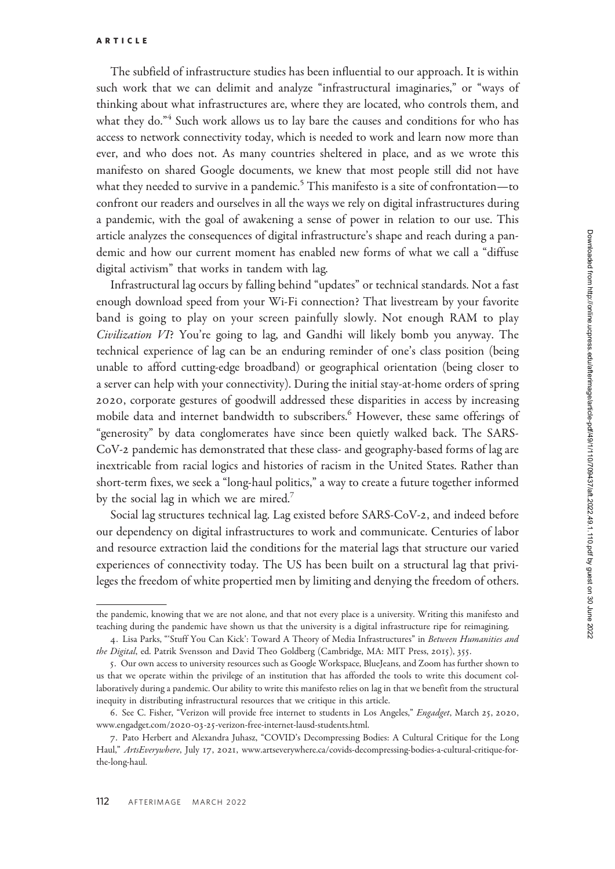The subfield of infrastructure studies has been influential to our approach. It is within such work that we can delimit and analyze "infrastructural imaginaries," or "ways of thinking about what infrastructures are, where they are located, who controls them, and what they do."<sup>4</sup> Such work allows us to lay bare the causes and conditions for who has access to network connectivity today, which is needed to work and learn now more than ever, and who does not. As many countries sheltered in place, and as we wrote this manifesto on shared Google documents, we knew that most people still did not have what they needed to survive in a pandemic.<sup>5</sup> This manifesto is a site of confrontation—to confront our readers and ourselves in all the ways we rely on digital infrastructures during a pandemic, with the goal of awakening a sense of power in relation to our use. This article analyzes the consequences of digital infrastructure's shape and reach during a pandemic and how our current moment has enabled new forms of what we call a "diffuse digital activism" that works in tandem with lag.

Infrastructural lag occurs by falling behind "updates" or technical standards. Not a fast enough download speed from your Wi-Fi connection? That livestream by your favorite band is going to play on your screen painfully slowly. Not enough RAM to play Civilization VI? You're going to lag, and Gandhi will likely bomb you anyway. The technical experience of lag can be an enduring reminder of one's class position (being unable to afford cutting-edge broadband) or geographical orientation (being closer to a server can help with your connectivity). During the initial stay-at-home orders of spring 2020, corporate gestures of goodwill addressed these disparities in access by increasing mobile data and internet bandwidth to subscribers.<sup>6</sup> However, these same offerings of "generosity" by data conglomerates have since been quietly walked back. The SARS-CoV-2 pandemic has demonstrated that these class- and geography-based forms of lag are inextricable from racial logics and histories of racism in the United States. Rather than short-term fixes, we seek a "long-haul politics," a way to create a future together informed by the social lag in which we are mired.<sup>7</sup> a server can help v<br>
2020, corporate<br>
mobile data and<br>
"generosity" by d<br>
CoV-2 pandemic<br>
inextricable from<br>
short-term fixes, v<br>
by the social lag i<br>
Social lag struce<br>
our dependency c<br>
and resource extra<br>
experiences of

Social lag structures technical lag. Lag existed before SARS-CoV-2, and indeed before our dependency on digital infrastructures to work and communicate. Centuries of labor and resource extraction laid the conditions for the material lags that structure our varied experiences of connectivity today. The US has been built on a structural lag that privi leges the freedom of white propertied men by limiting and denying the freedom of others.

the pandemic, knowing that we are not alone, and that not every place is a university. Writing this manifesto and teaching during the pandemic have shown us that the university is a digital infrastructure ripe for reimagining.

<sup>4.</sup> Lisa Parks, "'Stuff You Can Kick': Toward A Theory of Media Infrastructures" in Between Humanities and the Digital, ed. Patrik Svensson and David Theo Goldberg (Cambridge, MA: MIT Press, 2015), 355.

<sup>5</sup>. Our own access to university resources such as Google Workspace, BlueJeans, and Zoom has further shown to us that we operate within the privilege of an institution that has afforded the tools to write this document collaboratively during a pandemic. Our ability to write this manifesto relies on lag in that we benefit from the structural inequity in distributing infrastructural resources that we critique in this article.

<sup>6</sup>. See C. Fisher, "Verizon will provide free internet to students in Los Angeles," Engadget, March 25, 2020, www.engadget.com/2020-03-25[-verizon-free-internet-lausd-students.html.](http://www.engadget.com/2020-03-25-verizon-free-internet-lausd-students.html)

<sup>7</sup>. Pato Herbert and Alexandra Juhasz, "COVID's Decompressing Bodies: A Cultural Critique for the Long Haul," ArtsEverywhere, July 17, 2021, [www.artseverywhere.ca/covids-decompressing-bodies-a-cultural-critique-for](http://www.artseverywhere.ca/covids-decompressing-bodies-a-cultural-critique-for-the-long-haul)[the-long-haul](http://www.artseverywhere.ca/covids-decompressing-bodies-a-cultural-critique-for-the-long-haul).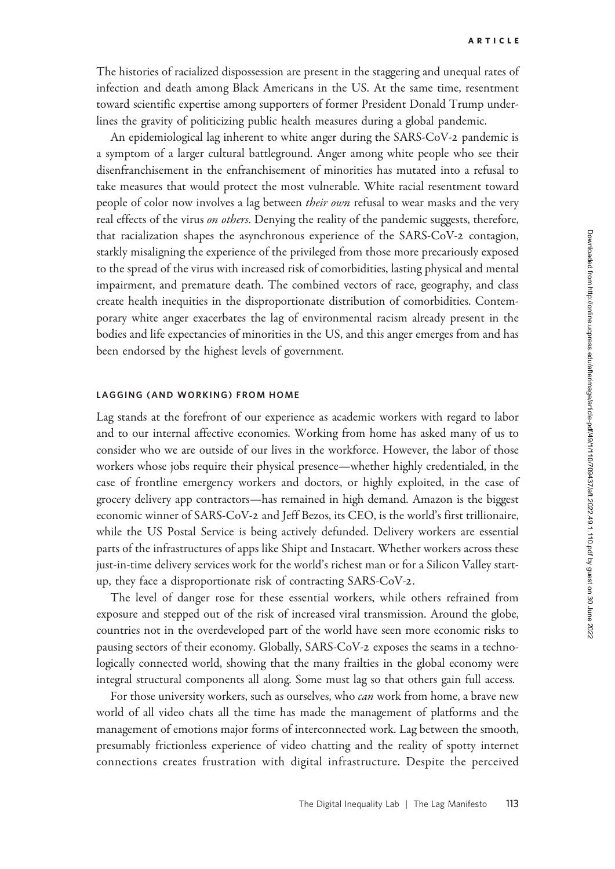The histories of racialized dispossession are present in the staggering and unequal rates of infection and death among Black Americans in the US. At the same time, resentment toward scientific expertise among supporters of former President Donald Trump underlines the gravity of politicizing public health measures during a global pandemic.

An epidemiological lag inherent to white anger during the SARS-CoV-2 pandemic is a symptom of a larger cultural battleground. Anger among white people who see their disenfranchisement in the enfranchisement of minorities has mutated into a refusal to take measures that would protect the most vulnerable. White racial resentment toward people of color now involves a lag between *their own* refusal to wear masks and the very real effects of the virus on others. Denying the reality of the pandemic suggests, therefore, that racialization shapes the asynchronous experience of the SARS-CoV-2 contagion, starkly misaligning the experience of the privileged from those more precariously exposed to the spread of the virus with increased risk of comorbidities, lasting physical and mental impairment, and premature death. The combined vectors of race, geography, and class create health inequities in the disproportionate distribution of comorbidities. Contemporary white anger exacerbates the lag of environmental racism already present in the bodies and life expectancies of minorities in the US, and this anger emerges from and has been endorsed by the highest levels of government.

#### LAGGING (AND WORKING) FROM HOME

Lag stands at the forefront of our experience as academic workers with regard to labor and to our internal affective economies. Working from home has asked many of us to consider who we are outside of our lives in the workforce. However, the labor of those workers whose jobs require their physical presence—whether highly credentialed, in the case of frontline emergency workers and doctors, or highly exploited, in the case of grocery delivery app contractors—has remained in high demand. Amazon is the biggest economic winner of SARS-CoV-2 and Jeff Bezos, its CEO, is the world's first trillionaire, while the US Postal Service is being actively defunded. Delivery workers are essential parts of the infrastructures of apps like Shipt and Instacart. Whether workers across these just-in-time delivery services work for the world's richest man or for a Silicon Valley startup, they face a disproportionate risk of contracting SARS-CoV-2.

The level of danger rose for these essential workers, while others refrained from exposure and stepped out of the risk of increased viral transmission. Around the globe, countries not in the overdeveloped part of the world have seen more economic risks to pausing sectors of their economy. Globally, SARS-CoV-2 exposes the seams in a technologically connected world, showing that the many frailties in the global economy were integral structural components all along. Some must lag so that others gain full access.

For those university workers, such as ourselves, who *can* work from home, a brave new world of all video chats all the time has made the management of platforms and the management of emotions major forms of interconnected work. Lag between the smooth, presumably frictionless experience of video chatting and the reality of spotty internet connections creates frustration with digital infrastructure. Despite the perceived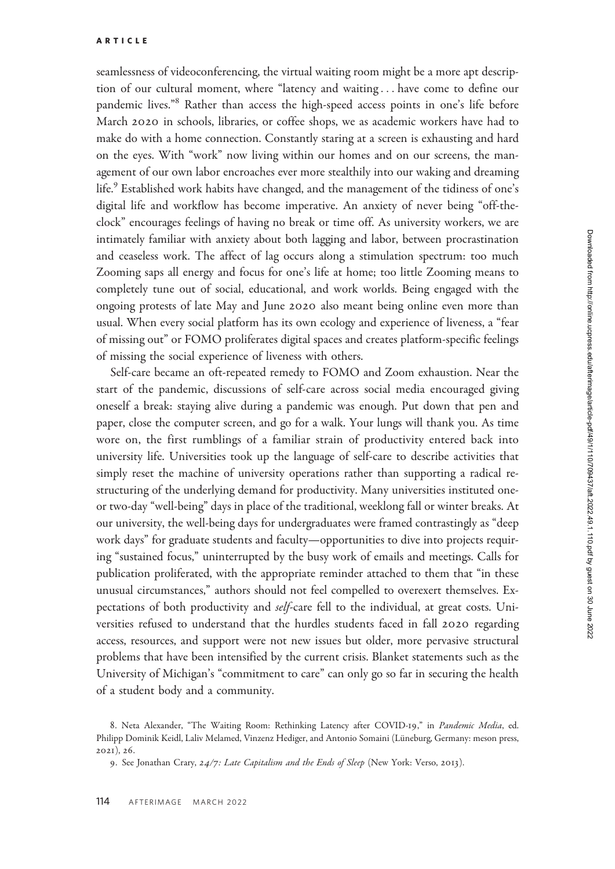seamlessness of videoconferencing, the virtual waiting room might be a more apt description of our cultural moment, where "latency and waiting ... have come to define our pandemic lives."<sup>8</sup> Rather than access the high-speed access points in one's life before March 2020 in schools, libraries, or coffee shops, we as academic workers have had to make do with a home connection. Constantly staring at a screen is exhausting and hard on the eyes. With "work" now living within our homes and on our screens, the management of our own labor encroaches ever more stealthily into our waking and dreaming life.<sup>9</sup> Established work habits have changed, and the management of the tidiness of one's digital life and workflow has become imperative. An anxiety of never being "off-theclock" encourages feelings of having no break or time off. As university workers, we are intimately familiar with anxiety about both lagging and labor, between procrastination and ceaseless work. The affect of lag occurs along a stimulation spectrum: too much Zooming saps all energy and focus for one's life at home; too little Zooming means to completely tune out of social, educational, and work worlds. Being engaged with the ongoing protests of late May and June 2020 also meant being online even more than usual. When every social platform has its own ecology and experience of liveness, a "fear of missing out" or FOMO proliferates digital spaces and creates platform-specific feelings of missing the social experience of liveness with others.

Self-care became an oft-repeated remedy to FOMO and Zoom exhaustion. Near the start of the pandemic, discussions of self-care across social media encouraged giving oneself a break: staying alive during a pandemic was enough. Put down that pen and paper, close the computer screen, and go for a walk. Your lungs will thank you. As time wore on, the first rumblings of a familiar strain of productivity entered back into university life. Universities took up the language of self-care to describe activities that simply reset the machine of university operations rather than supporting a radical restructuring of the underlying demand for productivity. Many universities instituted oneor two-day "well-being" days in place of the traditional, weeklong fall or winter breaks. At our university, the well-being days for undergraduates were framed contrastingly as "deep work days" for graduate students and faculty—opportunities to dive into projects requiring "sustained focus," uninterrupted by the busy work of emails and meetings. Calls for publication proliferated, with the appropriate reminder attached to them that "in these unusual circumstances," authors should not feel compelled to overexert themselves. Expectations of both productivity and self-care fell to the individual, at great costs. Universities refused to understand that the hurdles students faced in fall 2020 regarding access, resources, and support were not new issues but older, more pervasive structural problems that have been intensified by the current crisis. Blanket statements such as the University of Michigan's "commitment to care" can only go so far in securing the health of a student body and a community.

<sup>8.</sup> Neta Alexander, "The Waiting Room: Rethinking Latency after COVID-19," in Pandemic Media, ed. Philipp Dominik Keidl, Laliv Melamed, Vinzenz Hediger, and Antonio Somaini (Lüneburg, Germany: meson press, 2021), 26.

<sup>9.</sup> See Jonathan Crary, 24/7: Late Capitalism and the Ends of Sleep (New York: Verso, 2013).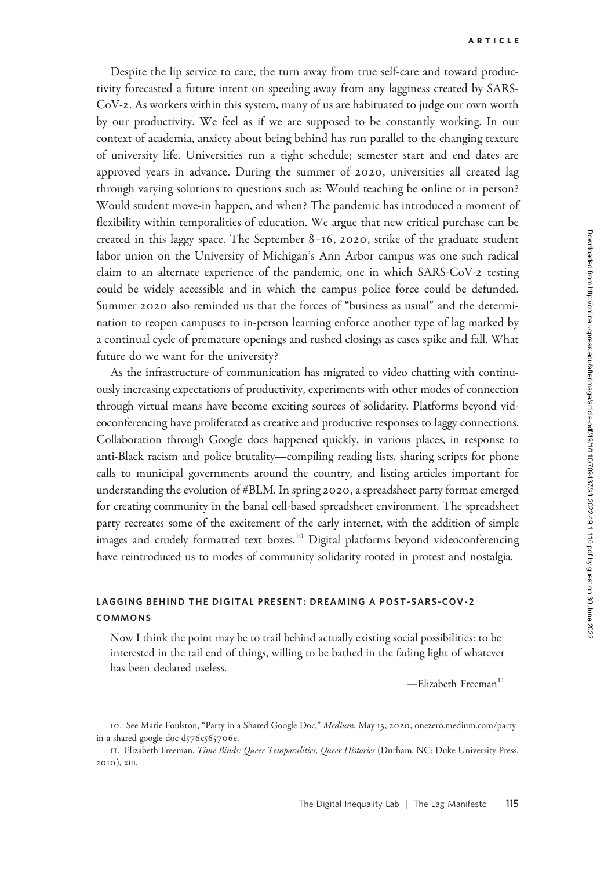Despite the lip service to care, the turn away from true self-care and toward productivity forecasted a future intent on speeding away from any lagginess created by SARS-CoV-2. As workers within this system, many of us are habituated to judge our own worth by our productivity. We feel as if we are supposed to be constantly working. In our context of academia, anxiety about being behind has run parallel to the changing texture of university life. Universities run a tight schedule; semester start and end dates are approved years in advance. During the summer of 2020, universities all created lag through varying solutions to questions such as: Would teaching be online or in person? Would student move-in happen, and when? The pandemic has introduced a moment of flexibility within temporalities of education. We argue that new critical purchase can be created in this laggy space. The September 8–16, 2020, strike of the graduate student labor union on the University of Michigan's Ann Arbor campus was one such radical claim to an alternate experience of the pandemic, one in which SARS-CoV-2 testing could be widely accessible and in which the campus police force could be defunded. Summer 2020 also reminded us that the forces of "business as usual" and the determination to reopen campuses to in-person learning enforce another type of lag marked by a continual cycle of premature openings and rushed closings as cases spike and fall. What future do we want for the university?

As the infrastructure of communication has migrated to video chatting with continuously increasing expectations of productivity, experiments with other modes of connection through virtual means have become exciting sources of solidarity. Platforms beyond videoconferencing have proliferated as creative and productive responses to laggy connections. Collaboration through Google docs happened quickly, in various places, in response to anti-Black racism and police brutality—compiling reading lists, sharing scripts for phone calls to municipal governments around the country, and listing articles important for understanding the evolution of #BLM. In spring 2020, a spreadsheet party format emerged for creating community in the banal cell-based spreadsheet environment. The spreadsheet party recreates some of the excitement of the early internet, with the addition of simple images and crudely formatted text boxes.<sup>10</sup> Digital platforms beyond videoconferencing have reintroduced us to modes of community solidarity rooted in protest and nostalgia.

## LAGGING BEHIND THE DIGITAL PRESENT: DREAMING A POST-SARS-COV-2 COMMONS

Now I think the point may be to trail behind actually existing social possibilities: to be interested in the tail end of things, willing to be bathed in the fading light of whatever has been declared useless.

-Elizabeth Freeman<sup>11</sup>

<sup>10.</sup> See Marie Foulston, "Party in a Shared Google Doc," Medium, May 13, 2020, [onezero.medium.com/party](http://onezero.medium.com/party-in-a-shared-google-doc-d576c565706e)[in-a-shared-google-doc-d](http://onezero.medium.com/party-in-a-shared-google-doc-d576c565706e)576c565706e.

<sup>11.</sup> Elizabeth Freeman, Time Binds: Queer Temporalities, Queer Histories (Durham, NC: Duke University Press, 2010), xiii.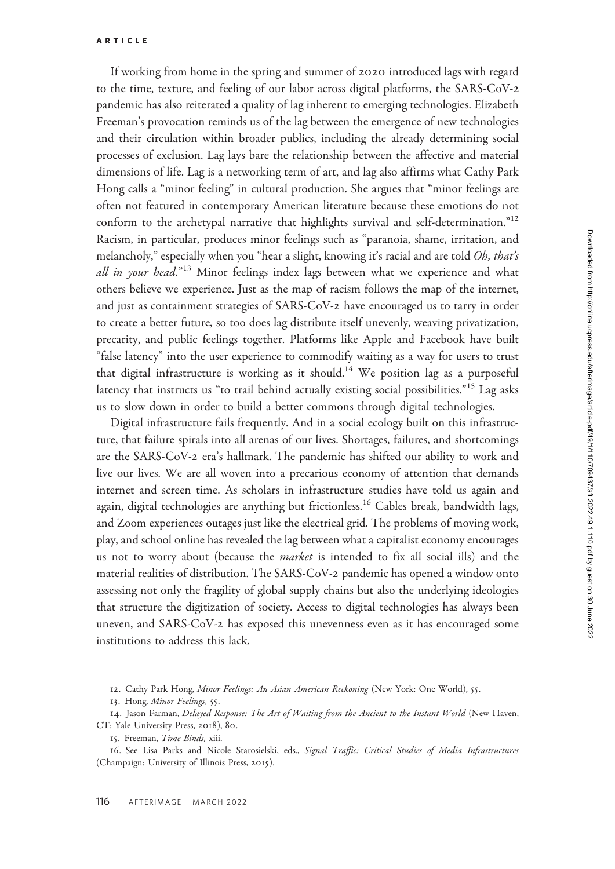If working from home in the spring and summer of 2020 introduced lags with regard to the time, texture, and feeling of our labor across digital platforms, the SARS-CoV-2 pandemic has also reiterated a quality of lag inherent to emerging technologies. Elizabeth Freeman's provocation reminds us of the lag between the emergence of new technologies and their circulation within broader publics, including the already determining social processes of exclusion. Lag lays bare the relationship between the affective and material dimensions of life. Lag is a networking term of art, and lag also affirms what Cathy Park Hong calls a "minor feeling" in cultural production. She argues that "minor feelings are often not featured in contemporary American literature because these emotions do not conform to the archetypal narrative that highlights survival and self-determination."<sup>12</sup> Racism, in particular, produces minor feelings such as "paranoia, shame, irritation, and melancholy," especially when you "hear a slight, knowing it's racial and are told Oh, that's all in your head."<sup>13</sup> Minor feelings index lags between what we experience and what others believe we experience. Just as the map of racism follows the map of the internet, and just as containment strategies of SARS-CoV-2 have encouraged us to tarry in order to create a better future, so too does lag distribute itself unevenly, weaving privatization, precarity, and public feelings together. Platforms like Apple and Facebook have built "false latency" into the user experience to commodify waiting as a way for users to trust that digital infrastructure is working as it should.<sup>14</sup> We position lag as a purposeful latency that instructs us "to trail behind actually existing social possibilities."<sup>15</sup> Lag asks us to slow down in order to build a better commons through digital technologies.

Digital infrastructure fails frequently. And in a social ecology built on this infrastructure, that failure spirals into all arenas of our lives. Shortages, failures, and shortcomings are the SARS-CoV-2 era's hallmark. The pandemic has shifted our ability to work and live our lives. We are all woven into a precarious economy of attention that demands internet and screen time. As scholars in infrastructure studies have told us again and again, digital technologies are anything but frictionless.<sup>16</sup> Cables break, bandwidth lags, and Zoom experiences outages just like the electrical grid. The problems of moving work, play, and school online has revealed the lag between what a capitalist economy encourages us not to worry about (because the *market* is intended to fix all social ills) and the material realities of distribution. The SARS-CoV-2 pandemic has opened a window onto assessing not only the fragility of global supply chains but also the underlying ideologies that structure the digitization of society. Access to digital technologies has always been uneven, and SARS-CoV-2 has exposed this unevenness even as it has encouraged some institutions to address this lack.

12. Cathy Park Hong, Minor Feelings: An Asian American Reckoning (New York: One World), 55.

13. Hong, Minor Feelings, 55.

14. Jason Farman, Delayed Response: The Art of Waiting from the Ancient to the Instant World (New Haven, CT: Yale University Press, 2018), 80.

15. Freeman, Time Binds, xiii.

16. See Lisa Parks and Nicole Starosielski, eds., Signal Traffic: Critical Studies of Media Infrastructures (Champaign: University of Illinois Press, 2015).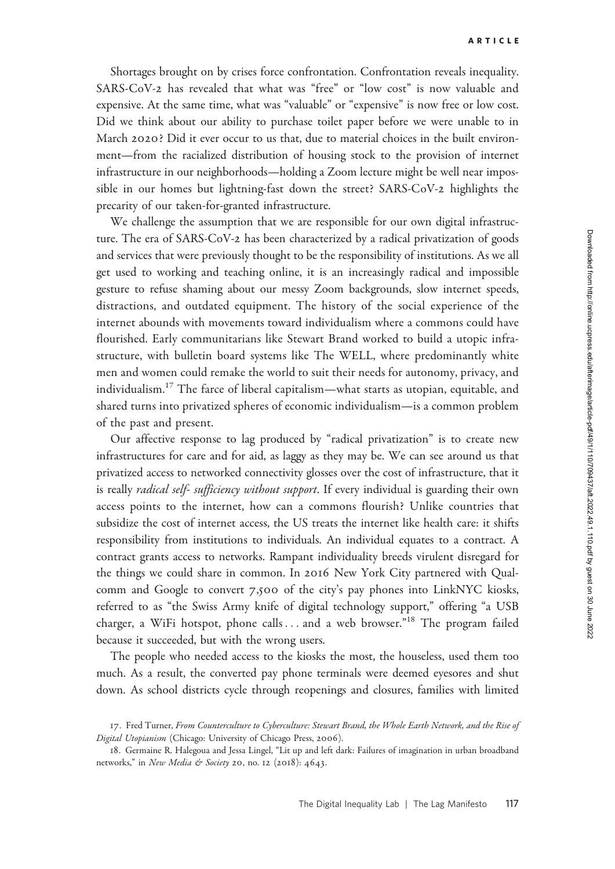Shortages brought on by crises force confrontation. Confrontation reveals inequality. SARS-CoV-2 has revealed that what was "free" or "low cost" is now valuable and expensive. At the same time, what was "valuable" or "expensive" is now free or low cost. Did we think about our ability to purchase toilet paper before we were unable to in March 2020? Did it ever occur to us that, due to material choices in the built environment—from the racialized distribution of housing stock to the provision of internet infrastructure in our neighborhoods—holding a Zoom lecture might be well near impossible in our homes but lightning-fast down the street? SARS-CoV-2 highlights the precarity of our taken-for-granted infrastructure.

We challenge the assumption that we are responsible for our own digital infrastructure. The era of SARS-CoV-2 has been characterized by a radical privatization of goods and services that were previously thought to be the responsibility of institutions. As we all get used to working and teaching online, it is an increasingly radical and impossible gesture to refuse shaming about our messy Zoom backgrounds, slow internet speeds, distractions, and outdated equipment. The history of the social experience of the internet abounds with movements toward individualism where a commons could have flourished. Early communitarians like Stewart Brand worked to build a utopic infrastructure, with bulletin board systems like The WELL, where predominantly white men and women could remake the world to suit their needs for autonomy, privacy, and individualism.<sup>17</sup> The farce of liberal capitalism—what starts as utopian, equitable, and shared turns into privatized spheres of economic individualism—is a common problem of the past and present.

Our affective response to lag produced by "radical privatization" is to create new infrastructures for care and for aid, as laggy as they may be. We can see around us that privatized access to networked connectivity glosses over the cost of infrastructure, that it is really *radical self- sufficiency without support*. If every individual is guarding their own access points to the internet, how can a commons flourish? Unlike countries that subsidize the cost of internet access, the US treats the internet like health care: it shifts responsibility from institutions to individuals. An individual equates to a contract. A contract grants access to networks. Rampant individuality breeds virulent disregard for the things we could share in common. In 2016 New York City partnered with Qualcomm and Google to convert 7,500 of the city's pay phones into LinkNYC kiosks, referred to as "the Swiss Army knife of digital technology support," offering "a USB charger, a WiFi hotspot, phone calls ... and a web browser."<sup>18</sup> The program failed because it succeeded, but with the wrong users.

The people who needed access to the kiosks the most, the houseless, used them too much. As a result, the converted pay phone terminals were deemed eyesores and shut down. As school districts cycle through reopenings and closures, families with limited

<sup>17.</sup> Fred Turner, From Counterculture to Cyberculture: Stewart Brand, the Whole Earth Network, and the Rise of Digital Utopianism (Chicago: University of Chicago Press, 2006).

<sup>18</sup>. Germaine R. Halegoua and Jessa Lingel, "Lit up and left dark: Failures of imagination in urban broadband networks," in New Media & Society 20, no. 12 (2018): 4643.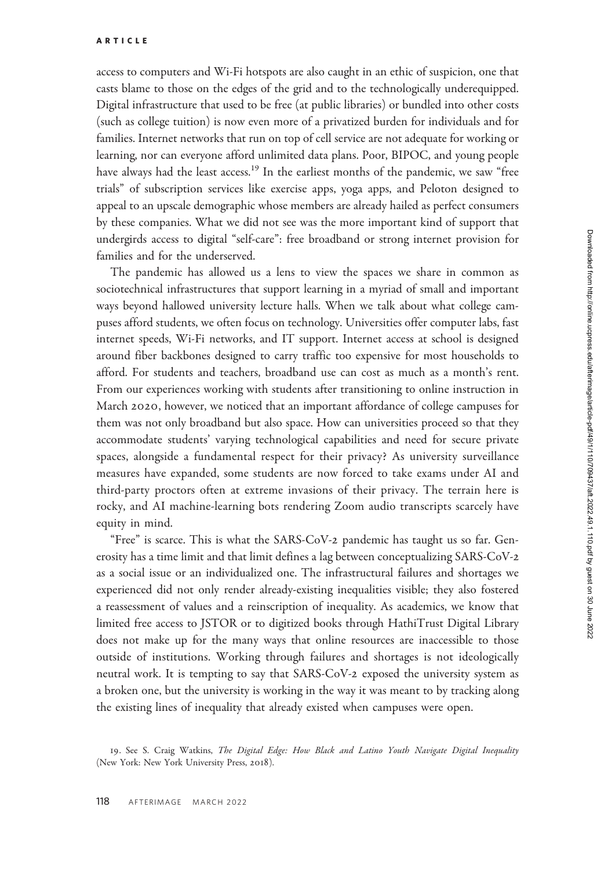access to computers and Wi-Fi hotspots are also caught in an ethic of suspicion, one that casts blame to those on the edges of the grid and to the technologically underequipped. Digital infrastructure that used to be free (at public libraries) or bundled into other costs (such as college tuition) is now even more of a privatized burden for individuals and for families. Internet networks that run on top of cell service are not adequate for working or learning, nor can everyone afford unlimited data plans. Poor, BIPOC, and young people have always had the least access.<sup>19</sup> In the earliest months of the pandemic, we saw "free trials" of subscription services like exercise apps, yoga apps, and Peloton designed to appeal to an upscale demographic whose members are already hailed as perfect consumers by these companies. What we did not see was the more important kind of support that undergirds access to digital "self-care": free broadband or strong internet provision for families and for the underserved.

The pandemic has allowed us a lens to view the spaces we share in common as sociotechnical infrastructures that support learning in a myriad of small and important ways beyond hallowed university lecture halls. When we talk about what college campuses afford students, we often focus on technology. Universities offer computer labs, fast internet speeds, Wi-Fi networks, and IT support. Internet access at school is designed around fiber backbones designed to carry traffic too expensive for most households to afford. For students and teachers, broadband use can cost as much as a month's rent. From our experiences working with students after transitioning to online instruction in March 2020, however, we noticed that an important affordance of college campuses for them was not only broadband but also space. How can universities proceed so that they accommodate students' varying technological capabilities and need for secure private spaces, alongside a fundamental respect for their privacy? As university surveillance measures have expanded, some students are now forced to take exams under AI and third-party proctors often at extreme invasions of their privacy. The terrain here is rocky, and AI machine-learning bots rendering Zoom audio transcripts scarcely have equity in mind.

"Free" is scarce. This is what the SARS-CoV-2 pandemic has taught us so far. Generosity has a time limit and that limit defines a lag between conceptualizing SARS-CoV-2 as a social issue or an individualized one. The infrastructural failures and shortages we experienced did not only render already-existing inequalities visible; they also fostered a reassessment of values and a reinscription of inequality. As academics, we know that limited free access to JSTOR or to digitized books through HathiTrust Digital Library does not make up for the many ways that online resources are inaccessible to those outside of institutions. Working through failures and shortages is not ideologically neutral work. It is tempting to say that SARS-CoV-2 exposed the university system as a broken one, but the university is working in the way it was meant to by tracking along the existing lines of inequality that already existed when campuses were open.

<sup>19.</sup> See S. Craig Watkins, The Digital Edge: How Black and Latino Youth Navigate Digital Inequality (New York: New York University Press, 2018).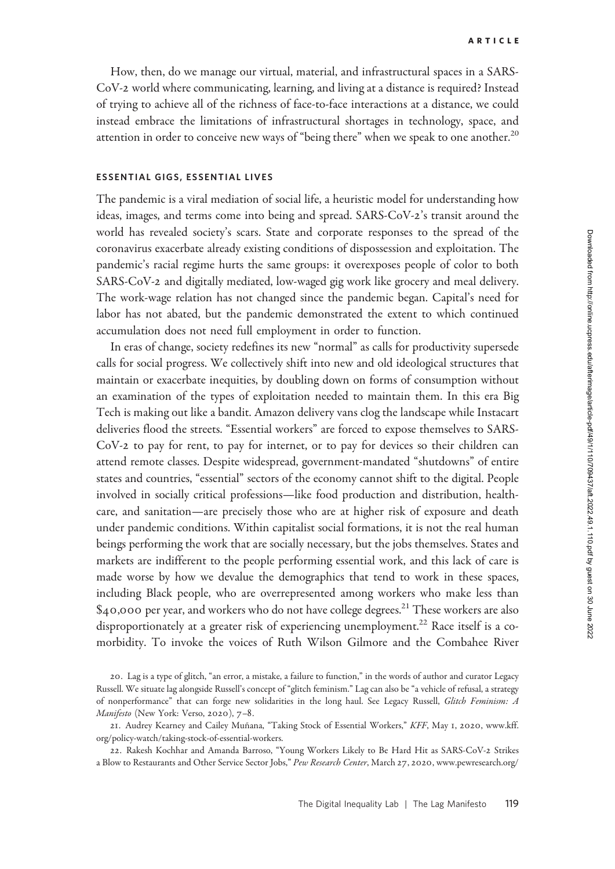How, then, do we manage our virtual, material, and infrastructural spaces in a SARS-CoV-2 world where communicating, learning, and living at a distance is required? Instead of trying to achieve all of the richness of face-to-face interactions at a distance, we could instead embrace the limitations of infrastructural shortages in technology, space, and attention in order to conceive new ways of "being there" when we speak to one another.<sup>20</sup>

### ESSENTIAL GIGS, ESSENTIAL LIVES

The pandemic is a viral mediation of social life, a heuristic model for understanding how ideas, images, and terms come into being and spread. SARS-CoV-2's transit around the world has revealed society's scars. State and corporate responses to the spread of the coronavirus exacerbate already existing conditions of dispossession and exploitation. The pandemic's racial regime hurts the same groups: it overexposes people of color to both SARS-CoV-2 and digitally mediated, low-waged gig work like grocery and meal delivery. The work-wage relation has not changed since the pandemic began. Capital's need for labor has not abated, but the pandemic demonstrated the extent to which continued accumulation does not need full employment in order to function.

In eras of change, society redefines its new "normal" as calls for productivity supersede calls for social progress. We collectively shift into new and old ideological structures that maintain or exacerbate inequities, by doubling down on forms of consumption without an examination of the types of exploitation needed to maintain them. In this era Big Tech is making out like a bandit. Amazon delivery vans clog the landscape while Instacart deliveries flood the streets. "Essential workers" are forced to expose themselves to SARS-CoV-2 to pay for rent, to pay for internet, or to pay for devices so their children can attend remote classes. Despite widespread, government-mandated "shutdowns" of entire states and countries, "essential" sectors of the economy cannot shift to the digital. People involved in socially critical professions—like food production and distribution, healthcare, and sanitation—are precisely those who are at higher risk of exposure and death under pandemic conditions. Within capitalist social formations, it is not the real human beings performing the work that are socially necessary, but the jobs themselves. States and markets are indifferent to the people performing essential work, and this lack of care is made worse by how we devalue the demographics that tend to work in these spaces, including Black people, who are overrepresented among workers who make less than  $$40,000$  per year, and workers who do not have college degrees.<sup>21</sup> These workers are also disproportionately at a greater risk of experiencing unemployment.<sup>22</sup> Race itself is a comorbidity. To invoke the voices of Ruth Wilson Gilmore and the Combahee River

<sup>20</sup>. Lag is a type of glitch, "an error, a mistake, a failure to function," in the words of author and curator Legacy Russell. We situate lag alongside Russell's concept of "glitch feminism." Lag can also be "a vehicle of refusal, a strategy of nonperformance" that can forge new solidarities in the long haul. See Legacy Russell, Glitch Feminism: A Manifesto (New York: Verso, 2020), 7–8.

<sup>21.</sup> Audrey Kearney and Cailey Muñana, "Taking Stock of Essential Workers," KFF, May 1, 2020, [www.kff.](http://www.kff.org/policy-watch/taking-stock-of-essential-workers) [org/policy-watch/taking-stock-of-essential-workers.](http://www.kff.org/policy-watch/taking-stock-of-essential-workers)

<sup>22</sup>. Rakesh Kochhar and Amanda Barroso, "Young Workers Likely to Be Hard Hit as SARS-CoV-2 Strikes a Blow to Restaurants and Other Service Sector Jobs," Pew Research Center, March 27, 2020, [www.pewresearch.org/](http://www.pewresearch.org/fact-tank/2020/03/27/young-workers-likely-to-be-hard-hit-as-COVID-19-strikes-a-blow-to-restaurants-and-other-service-sector-jobs)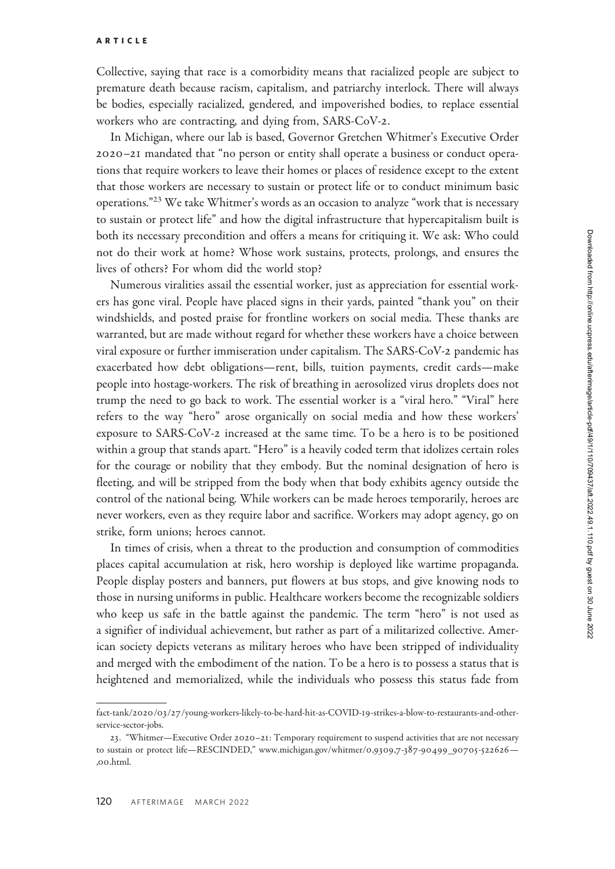Collective, saying that race is a comorbidity means that racialized people are subject to premature death because racism, capitalism, and patriarchy interlock. There will always be bodies, especially racialized, gendered, and impoverished bodies, to replace essential workers who are contracting, and dying from, SARS-CoV-2.

In Michigan, where our lab is based, Governor Gretchen Whitmer's Executive Order 2020–21 mandated that "no person or entity shall operate a business or conduct operations that require workers to leave their homes or places of residence except to the extent that those workers are necessary to sustain or protect life or to conduct minimum basic operations."<sup>23</sup> We take Whitmer's words as an occasion to analyze "work that is necessary to sustain or protect life" and how the digital infrastructure that hypercapitalism built is both its necessary precondition and offers a means for critiquing it. We ask: Who could not do their work at home? Whose work sustains, protects, prolongs, and ensures the lives of others? For whom did the world stop?

Numerous viralities assail the essential worker, just as appreciation for essential workers has gone viral. People have placed signs in their yards, painted "thank you" on their windshields, and posted praise for frontline workers on social media. These thanks are warranted, but are made without regard for whether these workers have a choice between viral exposure or further immiseration under capitalism. The SARS-CoV-2 pandemic has exacerbated how debt obligations—rent, bills, tuition payments, credit cards—make people into hostage-workers. The risk of breathing in aerosolized virus droplets does not trump the need to go back to work. The essential worker is a "viral hero." "Viral" here refers to the way "hero" arose organically on social media and how these workers' exposure to SARS-CoV-2 increased at the same time. To be a hero is to be positioned within a group that stands apart. "Hero" is a heavily coded term that idolizes certain roles for the courage or nobility that they embody. But the nominal designation of hero is fleeting, and will be stripped from the body when that body exhibits agency outside the control of the national being. While workers can be made heroes temporarily, heroes are never workers, even as they require labor and sacrifice. Workers may adopt agency, go on strike, form unions; heroes cannot.

In times of crisis, when a threat to the production and consumption of commodities places capital accumulation at risk, hero worship is deployed like wartime propaganda. People display posters and banners, put flowers at bus stops, and give knowing nods to those in nursing uniforms in public. Healthcare workers become the recognizable soldiers who keep us safe in the battle against the pandemic. The term "hero" is not used as a signifier of individual achievement, but rather as part of a militarized collective. American society depicts veterans as military heroes who have been stripped of individuality and merged with the embodiment of the nation. To be a hero is to possess a status that is neeting, and will<br>control of the nat<br>never workers, eve<br>strike, form union<br>In times of cri:<br>places capital accu<br>People display po<br>those in nursing u<br>who keep us safe<br>a signifier of indivican society depic<br>and merged with<br>h heightened and memorialized, while the individuals who possess this status fade from

fact-tank/2020/03/27[/young-workers-likely-to-be-hard-hit-as-COVID-](http://www.pewresearch.org/fact-tank/2020/03/27/young-workers-likely-to-be-hard-hit-as-COVID-19-strikes-a-blow-to-restaurants-and-other-service-sector-jobs)19-strikes-a-blow-to-restaurants-and-otherservice-sector-jobs.

<sup>23</sup>. "Whitmer—Executive Order 2020–21: Temporary requirement to suspend activities that are not necessary to sustain or protect life—RESCINDED," [www.michigan.gov/whitmer/](http://www.michigan.gov/whitmer/0,9309,7-387-90499_90705-522626 —,00.html)0,9309,7-387-90499\_90705-522626— ,00.html.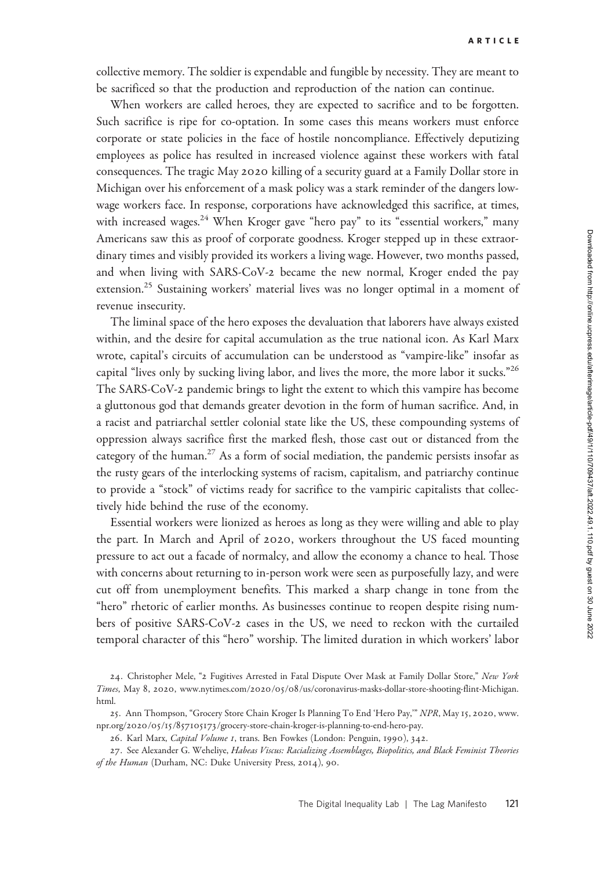collective memory. The soldier is expendable and fungible by necessity. They are meant to be sacrificed so that the production and reproduction of the nation can continue.

When workers are called heroes, they are expected to sacrifice and to be forgotten. Such sacrifice is ripe for co-optation. In some cases this means workers must enforce corporate or state policies in the face of hostile noncompliance. Effectively deputizing employees as police has resulted in increased violence against these workers with fatal consequences. The tragic May 2020 killing of a security guard at a Family Dollar store in Michigan over his enforcement of a mask policy was a stark reminder of the dangers lowwage workers face. In response, corporations have acknowledged this sacrifice, at times, with increased wages.<sup>24</sup> When Kroger gave "hero pay" to its "essential workers," many Americans saw this as proof of corporate goodness. Kroger stepped up in these extraordinary times and visibly provided its workers a living wage. However, two months passed, and when living with SARS-CoV-2 became the new normal, Kroger ended the pay extension.<sup>25</sup> Sustaining workers' material lives was no longer optimal in a moment of revenue insecurity.

The liminal space of the hero exposes the devaluation that laborers have always existed within, and the desire for capital accumulation as the true national icon. As Karl Marx wrote, capital's circuits of accumulation can be understood as "vampire-like" insofar as capital "lives only by sucking living labor, and lives the more, the more labor it sucks."<sup>26</sup> The SARS-CoV-2 pandemic brings to light the extent to which this vampire has become a gluttonous god that demands greater devotion in the form of human sacrifice. And, in a racist and patriarchal settler colonial state like the US, these compounding systems of oppression always sacrifice first the marked flesh, those cast out or distanced from the category of the human.<sup>27</sup> As a form of social mediation, the pandemic persists insofar as the rusty gears of the interlocking systems of racism, capitalism, and patriarchy continue to provide a "stock" of victims ready for sacrifice to the vampiric capitalists that collectively hide behind the ruse of the economy.

Essential workers were lionized as heroes as long as they were willing and able to play the part. In March and April of 2020, workers throughout the US faced mounting pressure to act out a facade of normalcy, and allow the economy a chance to heal. Those with concerns about returning to in-person work were seen as purposefully lazy, and were cut off from unemployment benefits. This marked a sharp change in tone from the "hero" rhetoric of earlier months. As businesses continue to reopen despite rising numbers of positive SARS-CoV-2 cases in the US, we need to reckon with the curtailed temporal character of this "hero" worship. The limited duration in which workers' labor

26. Karl Marx, Capital Volume 1, trans. Ben Fowkes (London: Penguin, 1990), 342.

<sup>24.</sup> Christopher Mele, "2 Fugitives Arrested in Fatal Dispute Over Mask at Family Dollar Store," New York Times, May 8, 2020, www.nytimes.com/2020/05/08[/us/coronavirus-masks-dollar-store-shooting-flint-Michigan.](http://www.nytimes.com/2020/05/08/us/coronavirus-masks-dollar-store-shooting-flint-Michigan.html) [html.](http://www.nytimes.com/2020/05/08/us/coronavirus-masks-dollar-store-shooting-flint-Michigan.html)

<sup>25.</sup> Ann Thompson, "Grocery Store Chain Kroger Is Planning To End 'Hero Pay," NPR, May 15, 2020, [www.](http://www.npr.org/2020/05/15/857105173/grocery-store-chain-kroger-is-planning-to-end-hero-pay) npr.org/2020/05/15/857105173[/grocery-store-chain-kroger-is-planning-to-end-hero-pay.](http://www.npr.org/2020/05/15/857105173/grocery-store-chain-kroger-is-planning-to-end-hero-pay)

<sup>27.</sup> See Alexander G. Weheliye, Habeas Viscus: Racializing Assemblages, Biopolitics, and Black Feminist Theories of the Human (Durham, NC: Duke University Press, 2014), 90.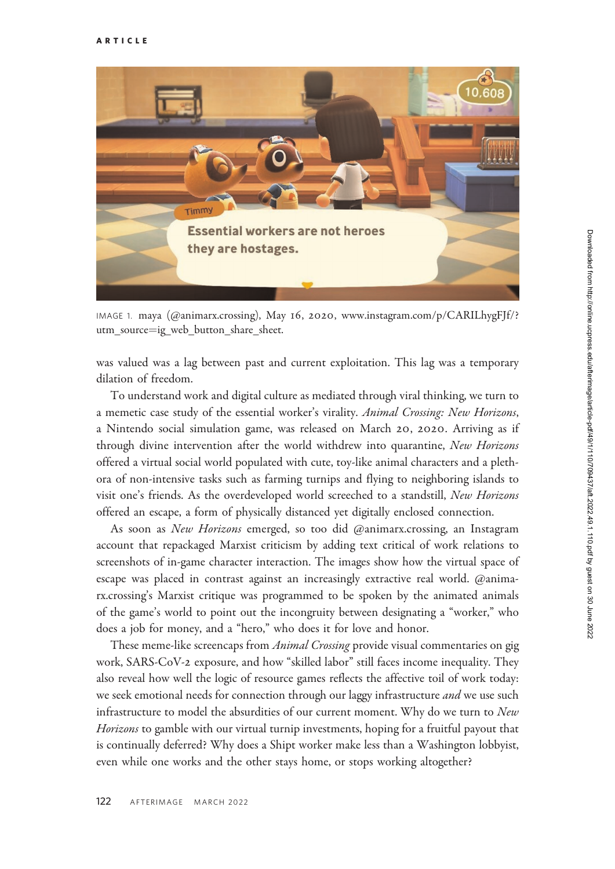

IMAGE 1. maya (@animarx.crossing), May 16, 2020, [www.instagram.com/p/CARILhygFJf/?](www.instagram.com/p/CARILhygFJf/?utm_source=ig_web_button_share_sheet) [utm\\_source](www.instagram.com/p/CARILhygFJf/?utm_source=ig_web_button_share_sheet)=[ig\\_web\\_button\\_share\\_sheet.](www.instagram.com/p/CARILhygFJf/?utm_source=ig_web_button_share_sheet)

was valued was a lag between past and current exploitation. This lag was a temporary dilation of freedom.

To understand work and digital culture as mediated through viral thinking, we turn to a memetic case study of the essential worker's virality. Animal Crossing: New Horizons, a Nintendo social simulation game, was released on March 20, 2020. Arriving as if through divine intervention after the world withdrew into quarantine, New Horizons offered a virtual social world populated with cute, toy-like animal characters and a plethora of non-intensive tasks such as farming turnips and flying to neighboring islands to visit one's friends. As the overdeveloped world screeched to a standstill, New Horizons offered an escape, a form of physically distanced yet digitally enclosed connection.

As soon as New Horizons emerged, so too did @animarx.crossing, an Instagram account that repackaged Marxist criticism by adding text critical of work relations to screenshots of in-game character interaction. The images show how the virtual space of escape was placed in contrast against an increasingly extractive real world. @animarx.crossing's Marxist critique was programmed to be spoken by the animated animals of the game's world to point out the incongruity between designating a "worker," who does a job for money, and a "hero," who does it for love and honor.

These meme-like screencaps from *Animal Crossing* provide visual commentaries on gig work, SARS-CoV-2 exposure, and how "skilled labor" still faces income inequality. They also reveal how well the logic of resource games reflects the affective toil of work today: we seek emotional needs for connection through our laggy infrastructure and we use such infrastructure to model the absurdities of our current moment. Why do we turn to New Horizons to gamble with our virtual turnip investments, hoping for a fruitful payout that is continually deferred? Why does a Shipt worker make less than a Washington lobbyist, even while one works and the other stays home, or stops working altogether?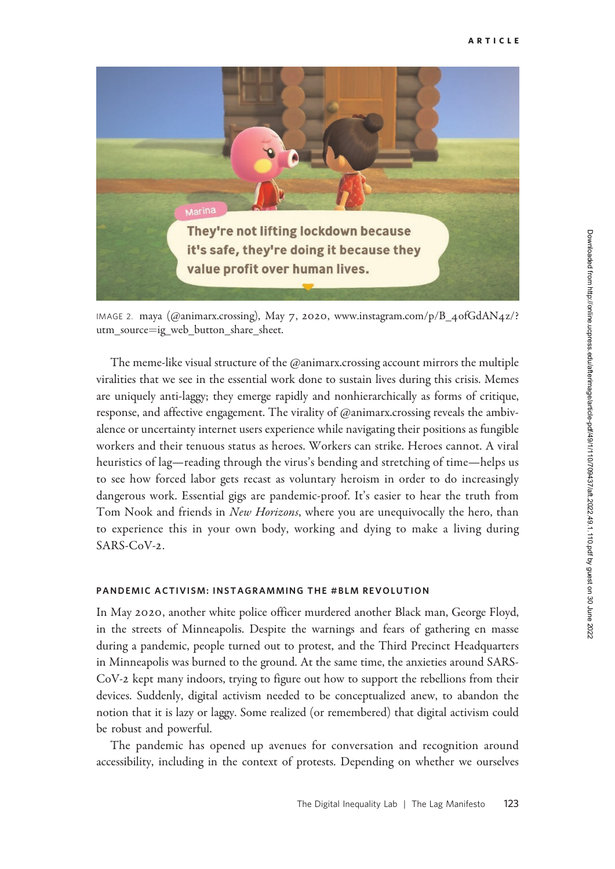

IMAGE 2. maya (@animarx.crossing), May 7, 2020, [www.instagram.com/p/B\\_](www.instagram.com/p/B_4ofGdAN4z/?utm_source=ig_web_button_share_sheet)4ofGdAN4z/? [utm\\_source](www.instagram.com/p/B_4ofGdAN4z/?utm_source=ig_web_button_share_sheet)=[ig\\_web\\_button\\_share\\_sheet.](www.instagram.com/p/B_4ofGdAN4z/?utm_source=ig_web_button_share_sheet)

The meme-like visual structure of the @animarx.crossing account mirrors the multiple viralities that we see in the essential work done to sustain lives during this crisis. Memes are uniquely anti-laggy; they emerge rapidly and nonhierarchically as forms of critique, response, and affective engagement. The virality of @animarx.crossing reveals the ambivalence or uncertainty internet users experience while navigating their positions as fungible workers and their tenuous status as heroes. Workers can strike. Heroes cannot. A viral heuristics of lag—reading through the virus's bending and stretching of time—helps us to see how forced labor gets recast as voluntary heroism in order to do increasingly dangerous work. Essential gigs are pandemic-proof. It's easier to hear the truth from Tom Nook and friends in *New Horizons*, where you are unequivocally the hero, than to experience this in your own body, working and dying to make a living during SARS-CoV-2.

### PANDEMIC ACTIVISM: INSTAGRAMMING THE #BLM REVOLUTION

In May 2020, another white police officer murdered another Black man, George Floyd, in the streets of Minneapolis. Despite the warnings and fears of gathering en masse during a pandemic, people turned out to protest, and the Third Precinct Headquarters in Minneapolis was burned to the ground. At the same time, the anxieties around SARS-CoV-2 kept many indoors, trying to figure out how to support the rebellions from their devices. Suddenly, digital activism needed to be conceptualized anew, to abandon the notion that it is lazy or laggy. Some realized (or remembered) that digital activism could be robust and powerful.

The pandemic has opened up avenues for conversation and recognition around accessibility, including in the context of protests. Depending on whether we ourselves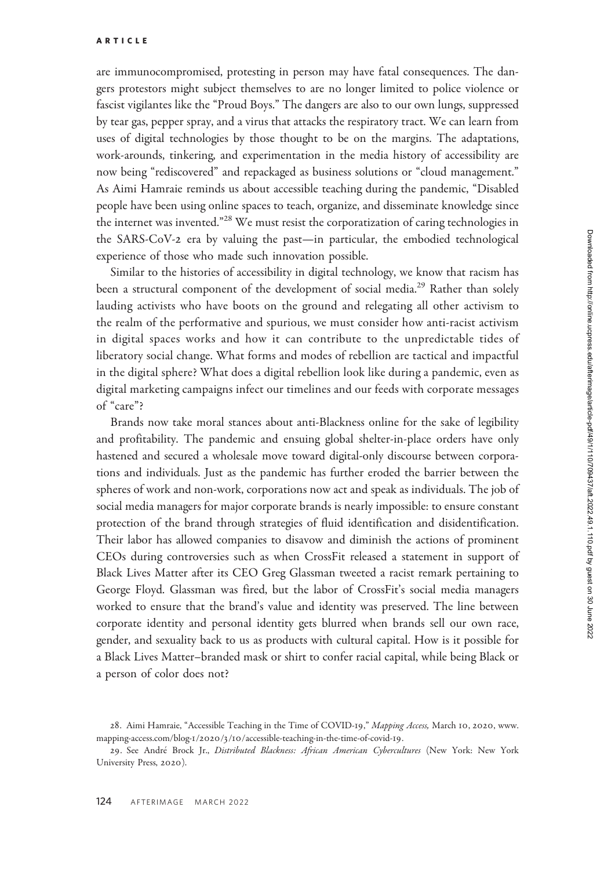are immunocompromised, protesting in person may have fatal consequences. The dangers protestors might subject themselves to are no longer limited to police violence or fascist vigilantes like the "Proud Boys." The dangers are also to our own lungs, suppressed by tear gas, pepper spray, and a virus that attacks the respiratory tract. We can learn from uses of digital technologies by those thought to be on the margins. The adaptations, work-arounds, tinkering, and experimentation in the media history of accessibility are now being "rediscovered" and repackaged as business solutions or "cloud management." As Aimi Hamraie reminds us about accessible teaching during the pandemic, "Disabled people have been using online spaces to teach, organize, and disseminate knowledge since the internet was invented."<sup>28</sup> We must resist the corporatization of caring technologies in the SARS-CoV-2 era by valuing the past—in particular, the embodied technological experience of those who made such innovation possible.

Similar to the histories of accessibility in digital technology, we know that racism has been a structural component of the development of social media.<sup>29</sup> Rather than solely lauding activists who have boots on the ground and relegating all other activism to the realm of the performative and spurious, we must consider how anti-racist activism in digital spaces works and how it can contribute to the unpredictable tides of liberatory social change. What forms and modes of rebellion are tactical and impactful in the digital sphere? What does a digital rebellion look like during a pandemic, even as digital marketing campaigns infect our timelines and our feeds with corporate messages of "care"?

Brands now take moral stances about anti-Blackness online for the sake of legibility and profitability. The pandemic and ensuing global shelter-in-place orders have only hastened and secured a wholesale move toward digital-only discourse between corporations and individuals. Just as the pandemic has further eroded the barrier between the spheres of work and non-work, corporations now act and speak as individuals. The job of social media managers for major corporate brands is nearly impossible: to ensure constant protection of the brand through strategies of fluid identification and disidentification. Their labor has allowed companies to disavow and diminish the actions of prominent CEOs during controversies such as when CrossFit released a statement in support of Black Lives Matter after its CEO Greg Glassman tweeted a racist remark pertaining to George Floyd. Glassman was fired, but the labor of CrossFit's social media managers worked to ensure that the brand's value and identity was preserved. The line between corporate identity and personal identity gets blurred when brands sell our own race, gender, and sexuality back to us as products with cultural capital. How is it possible for a Black Lives Matter–branded mask or shirt to confer racial capital, while being Black or a person of color does not?

<sup>28.</sup> Aimi Hamraie, "Accessible Teaching in the Time of COVID-19," Mapping Access, March 10, 2020, [www.](http://www.mapping-access.com/blog-1/2020/3/10/accessible-teaching-in-the-time-of-covid-19) mapping-access.com/blog-1/2020/3/10[/accessible-teaching-in-the-time-of-covid-](http://www.mapping-access.com/blog-1/2020/3/10/accessible-teaching-in-the-time-of-covid-19)19.

<sup>29.</sup> See André Brock Jr., Distributed Blackness: African American Cybercultures (New York: New York University Press, 2020).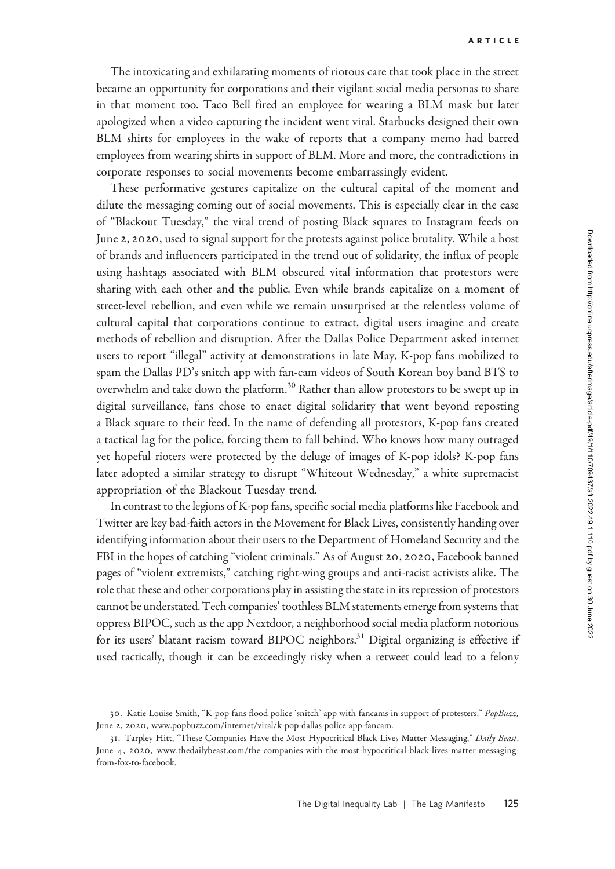The intoxicating and exhilarating moments of riotous care that took place in the street became an opportunity for corporations and their vigilant social media personas to share in that moment too. Taco Bell fired an employee for wearing a BLM mask but later apologized when a video capturing the incident went viral. Starbucks designed their own BLM shirts for employees in the wake of reports that a company memo had barred employees from wearing shirts in support of BLM. More and more, the contradictions in corporate responses to social movements become embarrassingly evident.

These performative gestures capitalize on the cultural capital of the moment and dilute the messaging coming out of social movements. This is especially clear in the case of "Blackout Tuesday," the viral trend of posting Black squares to Instagram feeds on June 2, 2020, used to signal support for the protests against police brutality. While a host of brands and influencers participated in the trend out of solidarity, the influx of people using hashtags associated with BLM obscured vital information that protestors were sharing with each other and the public. Even while brands capitalize on a moment of street-level rebellion, and even while we remain unsurprised at the relentless volume of cultural capital that corporations continue to extract, digital users imagine and create methods of rebellion and disruption. After the Dallas Police Department asked internet users to report "illegal" activity at demonstrations in late May, K-pop fans mobilized to spam the Dallas PD's snitch app with fan-cam videos of South Korean boy band BTS to overwhelm and take down the platform.<sup>30</sup> Rather than allow protestors to be swept up in digital surveillance, fans chose to enact digital solidarity that went beyond reposting a Black square to their feed. In the name of defending all protestors, K-pop fans created a tactical lag for the police, forcing them to fall behind. Who knows how many outraged yet hopeful rioters were protected by the deluge of images of K-pop idols? K-pop fans later adopted a similar strategy to disrupt "Whiteout Wednesday," a white supremacist appropriation of the Blackout Tuesday trend.

In contrast to the legions of K-pop fans, specific social media platforms like Facebook and Twitter are key bad-faith actors in the Movement for Black Lives, consistently handing over identifying information about their users to the Department of Homeland Security and the FBI in the hopes of catching "violent criminals." As of August 20, 2020, Facebook banned pages of "violent extremists," catching right-wing groups and anti-racist activists alike. The role that these and other corporations play in assisting the state in its repression of protestors cannot be understated. Tech companies' toothless BLM statements emergefrom systems that oppress BIPOC, such as the app Nextdoor, a neighborhood social media platform notorious for its users' blatant racism toward BIPOC neighbors.<sup>31</sup> Digital organizing is effective if used tactically, though it can be exceedingly risky when a retweet could lead to a felony

<sup>30</sup>. Katie Louise Smith, "K-pop fans flood police 'snitch' app with fancams in support of protesters," PopBuzz, June 2, 2020, [www.popbuzz.com/internet/viral/k-pop-dallas-police-app-fancam.](http://www.popbuzz.com/internet/viral/k-pop-dallas-police-app-fancam)

<sup>31.</sup> Tarpley Hitt, "These Companies Have the Most Hypocritical Black Lives Matter Messaging," Daily Beast, June 4, 2020, [www.thedailybeast.com/the-companies-with-the-most-hypocritical-black-lives-matter-messaging](http://www.thedailybeast.com/the-companies-with-the-most-hypocritical-black-lives-matter-messaging-from-fox-to-facebook)[from-fox-to-facebook](http://www.thedailybeast.com/the-companies-with-the-most-hypocritical-black-lives-matter-messaging-from-fox-to-facebook).